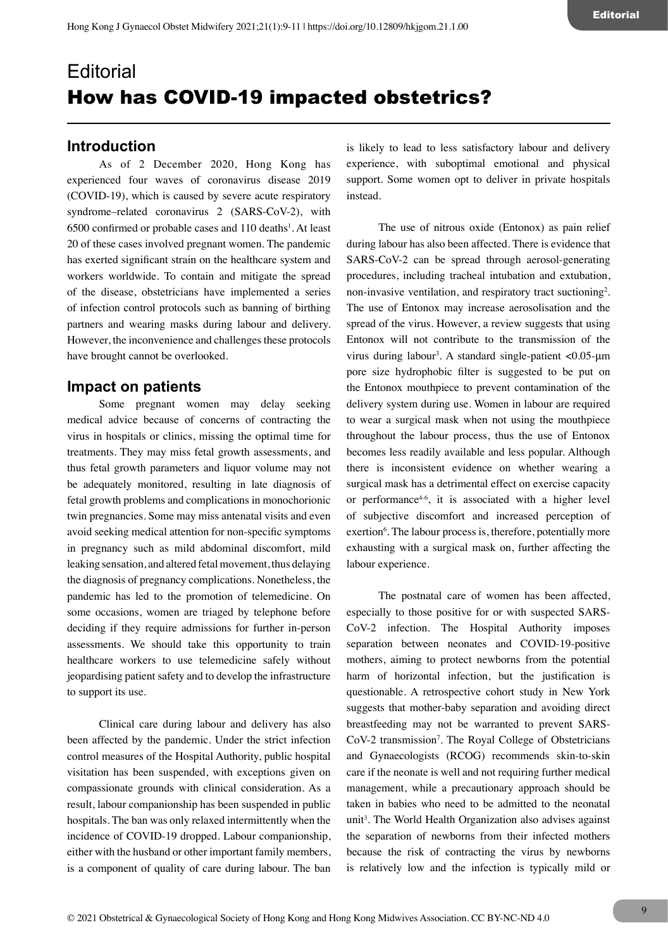# **Editorial** How has COVID-19 impacted obstetrics?

# **Introduction**

As of 2 December 2020, Hong Kong has experienced four waves of coronavirus disease 2019 (COVID-19), which is caused by severe acute respiratory syndrome–related coronavirus 2 (SARS-CoV-2), with  $6500$  confirmed or probable cases and  $110$  deaths<sup>1</sup>. At least 20 of these cases involved pregnant women. The pandemic has exerted significant strain on the healthcare system and workers worldwide. To contain and mitigate the spread of the disease, obstetricians have implemented a series of infection control protocols such as banning of birthing partners and wearing masks during labour and delivery. However, the inconvenience and challenges these protocols have brought cannot be overlooked.

## **Impact on patients**

Some pregnant women may delay seeking medical advice because of concerns of contracting the virus in hospitals or clinics, missing the optimal time for treatments. They may miss fetal growth assessments, and thus fetal growth parameters and liquor volume may not be adequately monitored, resulting in late diagnosis of fetal growth problems and complications in monochorionic twin pregnancies. Some may miss antenatal visits and even avoid seeking medical attention for non-specific symptoms in pregnancy such as mild abdominal discomfort, mild leaking sensation, and altered fetal movement, thus delaying the diagnosis of pregnancy complications. Nonetheless, the pandemic has led to the promotion of telemedicine. On some occasions, women are triaged by telephone before deciding if they require admissions for further in-person assessments. We should take this opportunity to train healthcare workers to use telemedicine safely without jeopardising patient safety and to develop the infrastructure to support its use.

Clinical care during labour and delivery has also been affected by the pandemic. Under the strict infection control measures of the Hospital Authority, public hospital visitation has been suspended, with exceptions given on compassionate grounds with clinical consideration. As a result, labour companionship has been suspended in public hospitals. The ban was only relaxed intermittently when the incidence of COVID-19 dropped. Labour companionship, either with the husband or other important family members, is a component of quality of care during labour. The ban

is likely to lead to less satisfactory labour and delivery experience, with suboptimal emotional and physical support. Some women opt to deliver in private hospitals instead.

The use of nitrous oxide (Entonox) as pain relief during labour has also been affected. There is evidence that SARS-CoV-2 can be spread through aerosol-generating procedures, including tracheal intubation and extubation, non-invasive ventilation, and respiratory tract suctioning<sup>2</sup>. The use of Entonox may increase aerosolisation and the spread of the virus. However, a review suggests that using Entonox will not contribute to the transmission of the virus during labour3 . A standard single-patient <0.05-μm pore size hydrophobic filter is suggested to be put on the Entonox mouthpiece to prevent contamination of the delivery system during use. Women in labour are required to wear a surgical mask when not using the mouthpiece throughout the labour process, thus the use of Entonox becomes less readily available and less popular. Although there is inconsistent evidence on whether wearing a surgical mask has a detrimental effect on exercise capacity or performance<sup>4-6</sup>, it is associated with a higher level of subjective discomfort and increased perception of exertion<sup>6</sup>. The labour process is, therefore, potentially more exhausting with a surgical mask on, further affecting the labour experience.

The postnatal care of women has been affected, especially to those positive for or with suspected SARS-CoV-2 infection. The Hospital Authority imposes separation between neonates and COVID-19-positive mothers, aiming to protect newborns from the potential harm of horizontal infection, but the justification is questionable. A retrospective cohort study in New York suggests that mother-baby separation and avoiding direct breastfeeding may not be warranted to prevent SARS-CoV-2 transmission<sup>7</sup>. The Royal College of Obstetricians and Gynaecologists (RCOG) recommends skin-to-skin care if the neonate is well and not requiring further medical management, while a precautionary approach should be taken in babies who need to be admitted to the neonatal unit<sup>3</sup>. The World Health Organization also advises against the separation of newborns from their infected mothers because the risk of contracting the virus by newborns is relatively low and the infection is typically mild or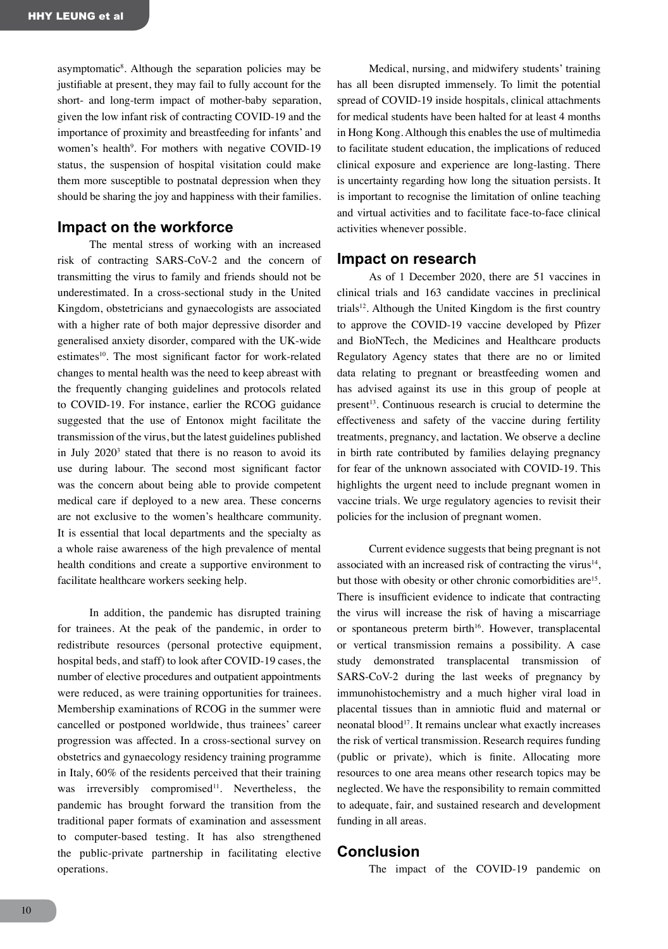asymptomatic<sup>8</sup>. Although the separation policies may be justifiable at present, they may fail to fully account for the short- and long-term impact of mother-baby separation, given the low infant risk of contracting COVID-19 and the importance of proximity and breastfeeding for infants' and women's health<sup>9</sup>. For mothers with negative COVID-19 status, the suspension of hospital visitation could make them more susceptible to postnatal depression when they should be sharing the joy and happiness with their families.

## **Impact on the workforce**

The mental stress of working with an increased risk of contracting SARS-CoV-2 and the concern of transmitting the virus to family and friends should not be underestimated. In a cross-sectional study in the United Kingdom, obstetricians and gynaecologists are associated with a higher rate of both major depressive disorder and generalised anxiety disorder, compared with the UK-wide estimates<sup>10</sup>. The most significant factor for work-related changes to mental health was the need to keep abreast with the frequently changing guidelines and protocols related to COVID-19. For instance, earlier the RCOG guidance suggested that the use of Entonox might facilitate the transmission of the virus, but the latest guidelines published in July 20203 stated that there is no reason to avoid its use during labour. The second most significant factor was the concern about being able to provide competent medical care if deployed to a new area. These concerns are not exclusive to the women's healthcare community. It is essential that local departments and the specialty as a whole raise awareness of the high prevalence of mental health conditions and create a supportive environment to facilitate healthcare workers seeking help.

In addition, the pandemic has disrupted training for trainees. At the peak of the pandemic, in order to redistribute resources (personal protective equipment, hospital beds, and staff) to look after COVID-19 cases, the number of elective procedures and outpatient appointments were reduced, as were training opportunities for trainees. Membership examinations of RCOG in the summer were cancelled or postponed worldwide, thus trainees' career progression was affected. In a cross-sectional survey on obstetrics and gynaecology residency training programme in Italy, 60% of the residents perceived that their training was irreversibly compromised<sup>11</sup>. Nevertheless, the pandemic has brought forward the transition from the traditional paper formats of examination and assessment to computer-based testing. It has also strengthened the public-private partnership in facilitating elective operations.

Medical, nursing, and midwifery students' training has all been disrupted immensely. To limit the potential spread of COVID-19 inside hospitals, clinical attachments for medical students have been halted for at least 4 months in Hong Kong. Although this enables the use of multimedia to facilitate student education, the implications of reduced clinical exposure and experience are long-lasting. There is uncertainty regarding how long the situation persists. It is important to recognise the limitation of online teaching and virtual activities and to facilitate face-to-face clinical activities whenever possible.

#### **Impact on research**

As of 1 December 2020, there are 51 vaccines in clinical trials and 163 candidate vaccines in preclinical trials<sup>12</sup>. Although the United Kingdom is the first country to approve the COVID-19 vaccine developed by Pfizer and BioNTech, the Medicines and Healthcare products Regulatory Agency states that there are no or limited data relating to pregnant or breastfeeding women and has advised against its use in this group of people at present<sup>13</sup>. Continuous research is crucial to determine the effectiveness and safety of the vaccine during fertility treatments, pregnancy, and lactation. We observe a decline in birth rate contributed by families delaying pregnancy for fear of the unknown associated with COVID-19. This highlights the urgent need to include pregnant women in vaccine trials. We urge regulatory agencies to revisit their policies for the inclusion of pregnant women.

Current evidence suggests that being pregnant is not associated with an increased risk of contracting the virus $14$ , but those with obesity or other chronic comorbidities are<sup>15</sup>. There is insufficient evidence to indicate that contracting the virus will increase the risk of having a miscarriage or spontaneous preterm birth<sup>16</sup>. However, transplacental or vertical transmission remains a possibility. A case study demonstrated transplacental transmission of SARS-CoV-2 during the last weeks of pregnancy by immunohistochemistry and a much higher viral load in placental tissues than in amniotic fluid and maternal or neonatal blood<sup>17</sup>. It remains unclear what exactly increases the risk of vertical transmission. Research requires funding (public or private), which is finite. Allocating more resources to one area means other research topics may be neglected. We have the responsibility to remain committed to adequate, fair, and sustained research and development funding in all areas.

#### **Conclusion**

The impact of the COVID-19 pandemic on